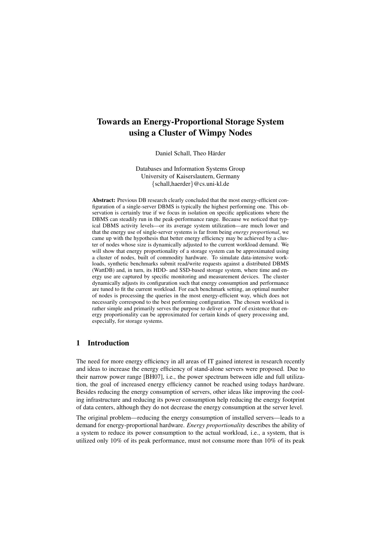# Towards an Energy-Proportional Storage System using a Cluster of Wimpy Nodes

Daniel Schall, Theo Härder

Databases and Information Systems Group University of Kaiserslautern, Germany {schall,haerder}@cs.uni-kl.de

Abstract: Previous DB research clearly concluded that the most energy-efficient configuration of a single-server DBMS is typically the highest performing one. This observation is certainly true if we focus in isolation on specific applications where the DBMS can steadily run in the peak-performance range. Because we noticed that typical DBMS activity levels—or its average system utilization—are much lower and that the energy use of single-server systems is far from being *energy proportional*, we came up with the hypothesis that better energy efficiency may be achieved by a cluster of nodes whose size is dynamically adjusted to the current workload demand. We will show that energy proportionality of a storage system can be approximated using a cluster of nodes, built of commodity hardware. To simulate data-intensive workloads, synthetic benchmarks submit read/write requests against a distributed DBMS (WattDB) and, in turn, its HDD- and SSD-based storage system, where time and energy use are captured by specific monitoring and measurement devices. The cluster dynamically adjusts its configuration such that energy consumption and performance are tuned to fit the current workload. For each benchmark setting, an optimal number of nodes is processing the queries in the most energy-efficient way, which does not necessarily correspond to the best performing configuration. The chosen workload is rather simple and primarily serves the purpose to deliver a proof of existence that energy proportionality can be approximated for certain kinds of query processing and, especially, for storage systems.

# 1 Introduction

The need for more energy efficiency in all areas of IT gained interest in research recently and ideas to increase the energy efficiency of stand-alone servers were proposed. Due to their narrow power range [BH07], i.e., the power spectrum between idle and full utilization, the goal of increased energy efficiency cannot be reached using todays hardware. Besides reducing the energy consumption of servers, other ideas like improving the cooling infrastructure and reducing its power consumption help reducing the energy footprint of data centers, although they do not decrease the energy consumption at the server level.

The original problem—reducing the energy consumption of installed servers—leads to a demand for energy-proportional hardware. *Energy proportionality* describes the ability of a system to reduce its power consumption to the actual workload, i.e., a system, that is utilized only 10% of its peak performance, must not consume more than 10% of its peak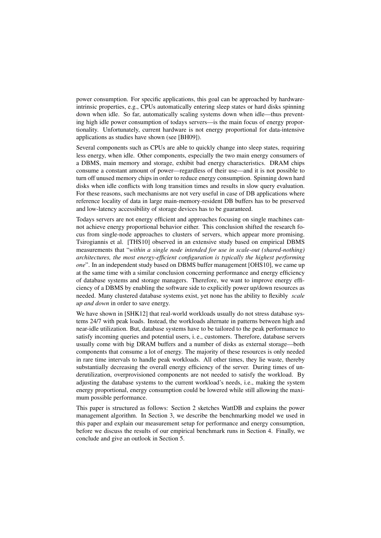power consumption. For specific applications, this goal can be approached by hardwareintrinsic properties, e.g., CPUs automatically entering sleep states or hard disks spinning down when idle. So far, automatically scaling systems down when idle—thus preventing high idle power consumption of todays servers—is the main focus of energy proportionality. Unfortunately, current hardware is not energy proportional for data-intensive applications as studies have shown (see [BH09]).

Several components such as CPUs are able to quickly change into sleep states, requiring less energy, when idle. Other components, especially the two main energy consumers of a DBMS, main memory and storage, exhibit bad energy characteristics. DRAM chips consume a constant amount of power—regardless of their use—and it is not possible to turn off unused memory chips in order to reduce energy consumption. Spinning down hard disks when idle conflicts with long transition times and results in slow query evaluation. For these reasons, such mechanisms are not very useful in case of DB applications where reference locality of data in large main-memory-resident DB buffers has to be preserved and low-latency accessibility of storage devices has to be guaranteed.

Todays servers are not energy efficient and approaches focusing on single machines cannot achieve energy proportional behavior either. This conclusion shifted the research focus from single-node approaches to clusters of servers, which appear more promising. Tsirogiannis et al. [THS10] observed in an extensive study based on empirical DBMS measurements that "*within a single node intended for use in scale-out (shared-nothing) architectures, the most energy-efficient configuration is typically the highest performing one*". In an independent study based on DBMS buffer management [OHS10], we came up at the same time with a similar conclusion concerning performance and energy efficiency of database systems and storage managers. Therefore, we want to improve energy efficiency of a DBMS by enabling the software side to explicitly power up/down resources as needed. Many clustered database systems exist, yet none has the ability to flexibly *scale up and down* in order to save energy.

We have shown in [SHK12] that real-world workloads usually do not stress database systems 24/7 with peak loads. Instead, the workloads alternate in patterns between high and near-idle utilization. But, database systems have to be tailored to the peak performance to satisfy incoming queries and potential users, i. e., customers. Therefore, database servers usually come with big DRAM buffers and a number of disks as external storage—both components that consume a lot of energy. The majority of these resources is only needed in rare time intervals to handle peak workloads. All other times, they lie waste, thereby substantially decreasing the overall energy efficiency of the server. During times of underutilization, overprovisioned components are not needed to satisfy the workload. By adjusting the database systems to the current workload's needs, i.e., making the system energy proportional, energy consumption could be lowered while still allowing the maximum possible performance.

This paper is structured as follows: Section 2 sketches WattDB and explains the power management algorithm. In Section 3, we describe the benchmarking model we used in this paper and explain our measurement setup for performance and energy consumption, before we discuss the results of our empirical benchmark runs in Section 4. Finally, we conclude and give an outlook in Section 5.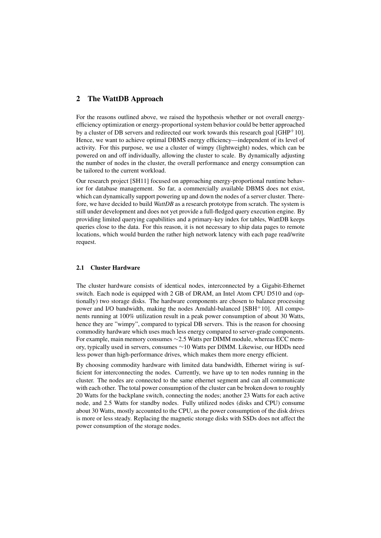# 2 The WattDB Approach

For the reasons outlined above, we raised the hypothesis whether or not overall energyefficiency optimization or energy-proportional system behavior could be better approached by a cluster of DB servers and redirected our work towards this research goal  $[GHP^+10]$ . Hence, we want to achieve optimal DBMS energy efficiency—independent of its level of activity. For this purpose, we use a cluster of wimpy (lightweight) nodes, which can be powered on and off individually, allowing the cluster to scale. By dynamically adjusting the number of nodes in the cluster, the overall performance and energy consumption can be tailored to the current workload.

Our research project [SH11] focused on approaching energy-proportional runtime behavior for database management. So far, a commercially available DBMS does not exist, which can dynamically support powering up and down the nodes of a server cluster. Therefore, we have decided to build *WattDB* as a research prototype from scratch. The system is still under development and does not yet provide a full-fledged query execution engine. By providing limited querying capabilities and a primary-key index for tables, WattDB keeps queries close to the data. For this reason, it is not necessary to ship data pages to remote locations, which would burden the rather high network latency with each page read/write request.

## 2.1 Cluster Hardware

The cluster hardware consists of identical nodes, interconnected by a Gigabit-Ethernet switch. Each node is equipped with 2 GB of DRAM, an Intel Atom CPU D510 and (optionally) two storage disks. The hardware components are chosen to balance processing power and I/O bandwidth, making the nodes Amdahl-balanced [SBH+10]. All components running at 100% utilization result in a peak power consumption of about 30 Watts, hence they are "wimpy", compared to typical DB servers. This is the reason for choosing commodity hardware which uses much less energy compared to server-grade components. For example, main memory consumes ∼2.5 Watts per DIMM module, whereas ECC memory, typically used in servers, consumes ∼10 Watts per DIMM. Likewise, our HDDs need less power than high-performance drives, which makes them more energy efficient.

By choosing commodity hardware with limited data bandwidth, Ethernet wiring is sufficient for interconnecting the nodes. Currently, we have up to ten nodes running in the cluster. The nodes are connected to the same ethernet segment and can all communicate with each other. The total power consumption of the cluster can be broken down to roughly 20 Watts for the backplane switch, connecting the nodes; another 23 Watts for each active node, and 2.5 Watts for standby nodes. Fully utilized nodes (disks and CPU) consume about 30 Watts, mostly accounted to the CPU, as the power consumption of the disk drives is more or less steady. Replacing the magnetic storage disks with SSDs does not affect the power consumption of the storage nodes.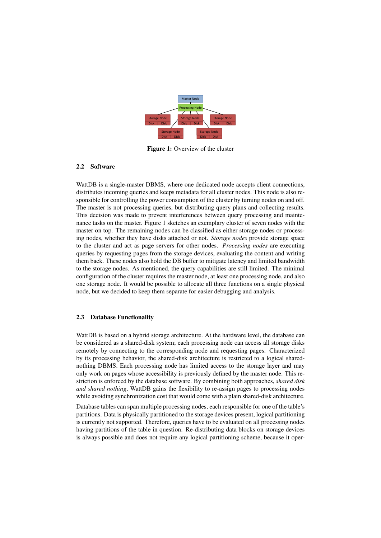

Figure 1: Overview of the cluster

## 2.2 Software

WattDB is a single-master DBMS, where one dedicated node accepts client connections, distributes incoming queries and keeps metadata for all cluster nodes. This node is also responsible for controlling the power consumption of the cluster by turning nodes on and off. The master is not processing queries, but distributing query plans and collecting results. This decision was made to prevent interferences between query processing and maintenance tasks on the master. Figure 1 sketches an exemplary cluster of seven nodes with the master on top. The remaining nodes can be classified as either storage nodes or processing nodes, whether they have disks attached or not. *Storage nodes* provide storage space to the cluster and act as page servers for other nodes. *Processing nodes* are executing queries by requesting pages from the storage devices, evaluating the content and writing them back. These nodes also hold the DB buffer to mitigate latency and limited bandwidth to the storage nodes. As mentioned, the query capabilities are still limited. The minimal configuration of the cluster requires the master node, at least one processing node, and also one storage node. It would be possible to allocate all three functions on a single physical node, but we decided to keep them separate for easier debugging and analysis.

# 2.3 Database Functionality

WattDB is based on a hybrid storage architecture. At the hardware level, the database can be considered as a shared-disk system; each processing node can access all storage disks remotely by connecting to the corresponding node and requesting pages. Characterized by its processing behavior, the shared-disk architecture is restricted to a logical sharednothing DBMS. Each processing node has limited access to the storage layer and may only work on pages whose accessibility is previously defined by the master node. This restriction is enforced by the database software. By combining both approaches, *shared disk and shared nothing*, WattDB gains the flexibility to re-assign pages to processing nodes while avoiding synchronization cost that would come with a plain shared-disk architecture.

Database tables can span multiple processing nodes, each responsible for one of the table's partitions. Data is physically partitioned to the storage devices present, logical partitioning is currently not supported. Therefore, queries have to be evaluated on all processing nodes having partitions of the table in question. Re-distributing data blocks on storage devices is always possible and does not require any logical partitioning scheme, because it oper-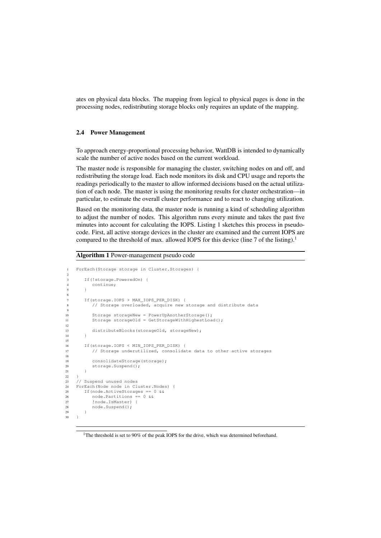ates on physical data blocks. The mapping from logical to physical pages is done in the processing nodes, redistributing storage blocks only requires an update of the mapping.

#### 2.4 Power Management

To approach energy-proportional processing behavior, WattDB is intended to dynamically scale the number of active nodes based on the current workload.

The master node is responsible for managing the cluster, switching nodes on and off, and redistributing the storage load. Each node monitors its disk and CPU usage and reports the readings periodically to the master to allow informed decisions based on the actual utilization of each node. The master is using the monitoring results for cluster orchestration—in particular, to estimate the overall cluster performance and to react to changing utilization.

Based on the monitoring data, the master node is running a kind of scheduling algorithm to adjust the number of nodes. This algorithm runs every minute and takes the past five minutes into account for calculating the IOPS. Listing 1 sketches this process in pseudocode. First, all active storage devices in the cluster are examined and the current IOPS are compared to the threshold of max. allowed IOPS for this device (line 7 of the listing).<sup>1</sup>

#### Algorithm 1 Power-management pseudo code

```
1 ForEach(Storage storage in Cluster.Storages) {
2
       If(!storage.PoweredOn) {
4 continue;
5 \qquad \qquad6
7 If(storage.IOPS > MAX_IOPS_PER_DISK) {
          // Storage overloaded, acquire new storage and distribute data
 9
10 Storage storageNew = PowerUpAnotherStorage();
11 Storage storageOld = GetStorageWithHighestLoad();
12
13 distributeBlocks(storageOld, storageNew);
14 }
15
16 If(storage.IOPS < MIN_IOPS_PER_DISK) {
17 // Storage underutilized, consolidate data to other active storages
18
19 consolidateStorage(storage);
20 storage. Suspend(\overline{)};
21 }
rac{22}{23}// Suspend unused nodes
24 ForEach(Node node in Cluster.Nodes) {
25 If(node.ActiveStorages == 0 & &<br>26 node.Partitions == 0 & &
26 node.Partitions == 0 & &<br>27 !node.IsMaster) {
          !node.IsMaster) {
28 node.Suspend();<br>29 }
       \rightarrow30 \qquad }
```
<sup>1</sup>The threshold is set to 90% of the peak IOPS for the drive, which was determined beforehand.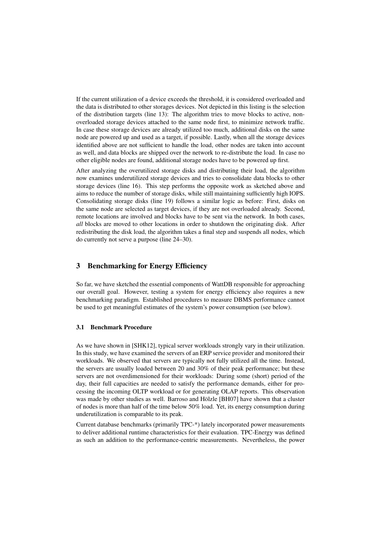If the current utilization of a device exceeds the threshold, it is considered overloaded and the data is distributed to other storages devices. Not depicted in this listing is the selection of the distribution targets (line 13): The algorithm tries to move blocks to active, nonoverloaded storage devices attached to the same node first, to minimize network traffic. In case these storage devices are already utilized too much, additional disks on the same node are powered up and used as a target, if possible. Lastly, when all the storage devices identified above are not sufficient to handle the load, other nodes are taken into account as well, and data blocks are shipped over the network to re-distribute the load. In case no other eligible nodes are found, additional storage nodes have to be powered up first.

After analyzing the overutilized storage disks and distributing their load, the algorithm now examines underutilized storage devices and tries to consolidate data blocks to other storage devices (line 16). This step performs the opposite work as sketched above and aims to reduce the number of storage disks, while still maintaining sufficiently high IOPS. Consolidating storage disks (line 19) follows a similar logic as before: First, disks on the same node are selected as target devices, if they are not overloaded already. Second, remote locations are involved and blocks have to be sent via the network. In both cases, *all* blocks are moved to other locations in order to shutdown the originating disk. After redistributing the disk load, the algorithm takes a final step and suspends all nodes, which do currently not serve a purpose (line 24–30).

# 3 Benchmarking for Energy Efficiency

So far, we have sketched the essential components of WattDB responsible for approaching our overall goal. However, testing a system for energy efficiency also requires a new benchmarking paradigm. Established procedures to measure DBMS performance cannot be used to get meaningful estimates of the system's power consumption (see below).

#### 3.1 Benchmark Procedure

As we have shown in [SHK12], typical server workloads strongly vary in their utilization. In this study, we have examined the servers of an ERP service provider and monitored their workloads. We observed that servers are typically not fully utilized all the time. Instead, the servers are usually loaded between 20 and 30% of their peak performance; but these servers are not overdimensioned for their workloads: During some (short) period of the day, their full capacities are needed to satisfy the performance demands, either for processing the incoming OLTP workload or for generating OLAP reports. This observation was made by other studies as well. Barroso and Hölzle [BH07] have shown that a cluster of nodes is more than half of the time below 50% load. Yet, its energy consumption during underutilization is comparable to its peak.

Current database benchmarks (primarily TPC-\*) lately incorporated power measurements to deliver additional runtime characteristics for their evaluation. TPC-Energy was defined as such an addition to the performance-centric measurements. Nevertheless, the power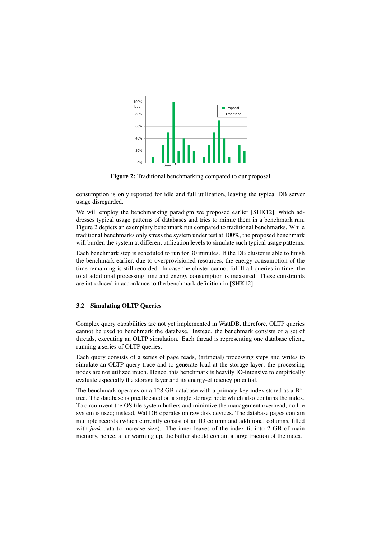

Figure 2: Traditional benchmarking compared to our proposal

consumption is only reported for idle and full utilization, leaving the typical DB server usage disregarded.

We will employ the benchmarking paradigm we proposed earlier [SHK12], which addresses typical usage patterns of databases and tries to mimic them in a benchmark run. Figure 2 depicts an exemplary benchmark run compared to traditional benchmarks. While traditional benchmarks only stress the system under test at 100%, the proposed benchmark will burden the system at different utilization levels to simulate such typical usage patterns.

Each benchmark step is scheduled to run for 30 minutes. If the DB cluster is able to finish the benchmark earlier, due to overprovisioned resources, the energy consumption of the time remaining is still recorded. In case the cluster cannot fulfill all queries in time, the total additional processing time and energy consumption is measured. These constraints are introduced in accordance to the benchmark definition in [SHK12].

## 3.2 Simulating OLTP Queries

Complex query capabilities are not yet implemented in WattDB, therefore, OLTP queries cannot be used to benchmark the database. Instead, the benchmark consists of a set of threads, executing an OLTP simulation. Each thread is representing one database client, running a series of OLTP queries.

Each query consists of a series of page reads, (artificial) processing steps and writes to simulate an OLTP query trace and to generate load at the storage layer; the processing nodes are not utilized much. Hence, this benchmark is heavily IO-intensive to empirically evaluate especially the storage layer and its energy-efficiency potential.

The benchmark operates on a 128 GB database with a primary-key index stored as a B\* tree. The database is preallocated on a single storage node which also contains the index. To circumvent the OS file system buffers and minimize the management overhead, no file system is used; instead, WattDB operates on raw disk devices. The database pages contain multiple records (which currently consist of an ID column and additional columns, filled with *junk* data to increase size). The inner leaves of the index fit into 2 GB of main memory, hence, after warming up, the buffer should contain a large fraction of the index.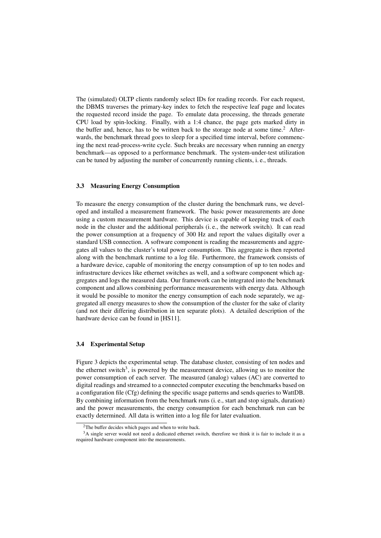The (simulated) OLTP clients randomly select IDs for reading records. For each request, the DBMS traverses the primary-key index to fetch the respective leaf page and locates the requested record inside the page. To emulate data processing, the threads generate CPU load by spin-locking. Finally, with a 1:4 chance, the page gets marked dirty in the buffer and, hence, has to be written back to the storage node at some time.<sup>2</sup> Afterwards, the benchmark thread goes to sleep for a specified time interval, before commencing the next read-process-write cycle. Such breaks are necessary when running an energy benchmark—as opposed to a performance benchmark. The system-under-test utilization can be tuned by adjusting the number of concurrently running clients, i. e., threads.

#### 3.3 Measuring Energy Consumption

To measure the energy consumption of the cluster during the benchmark runs, we developed and installed a measurement framework. The basic power measurements are done using a custom measurement hardware. This device is capable of keeping track of each node in the cluster and the additional peripherals (i. e., the network switch). It can read the power consumption at a frequency of 300 Hz and report the values digitally over a standard USB connection. A software component is reading the measurements and aggregates all values to the cluster's total power consumption. This aggregate is then reported along with the benchmark runtime to a log file. Furthermore, the framework consists of a hardware device, capable of monitoring the energy consumption of up to ten nodes and infrastructure devices like ethernet switches as well, and a software component which aggregates and logs the measured data. Our framework can be integrated into the benchmark component and allows combining performance measurements with energy data. Although it would be possible to monitor the energy consumption of each node separately, we aggregated all energy measures to show the consumption of the cluster for the sake of clarity (and not their differing distribution in ten separate plots). A detailed description of the hardware device can be found in [HS11].

## 3.4 Experimental Setup

Figure 3 depicts the experimental setup. The database cluster, consisting of ten nodes and the ethernet switch<sup>3</sup>, is powered by the measurement device, allowing us to monitor the power consumption of each server. The measured (analog) values (AC) are converted to digital readings and streamed to a connected computer executing the benchmarks based on a configuration file (Cfg) defining the specific usage patterns and sends queries to WattDB. By combining information from the benchmark runs (i. e., start and stop signals, duration) and the power measurements, the energy consumption for each benchmark run can be exactly determined. All data is written into a log file for later evaluation.

 $2$ The buffer decides which pages and when to write back.

 $3A$  single server would not need a dedicated ethernet switch, therefore we think it is fair to include it as a required hardware component into the measurements.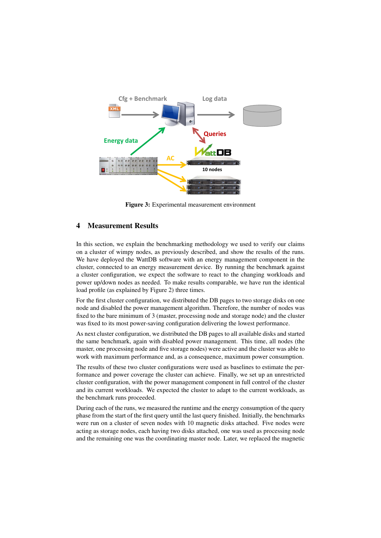

Figure 3: Experimental measurement environment

# 4 Measurement Results

In this section, we explain the benchmarking methodology we used to verify our claims on a cluster of wimpy nodes, as previously described, and show the results of the runs. We have deployed the WattDB software with an energy management component in the cluster, connected to an energy measurement device. By running the benchmark against a cluster configuration, we expect the software to react to the changing workloads and power up/down nodes as needed. To make results comparable, we have run the identical load profile (as explained by Figure 2) three times.

For the first cluster configuration, we distributed the DB pages to two storage disks on one node and disabled the power management algorithm. Therefore, the number of nodes was fixed to the bare minimum of 3 (master, processing node and storage node) and the cluster was fixed to its most power-saving configuration delivering the lowest performance.

As next cluster configuration, we distributed the DB pages to all available disks and started the same benchmark, again with disabled power management. This time, all nodes (the master, one processing node and five storage nodes) were active and the cluster was able to work with maximum performance and, as a consequence, maximum power consumption.

The results of these two cluster configurations were used as baselines to estimate the performance and power coverage the cluster can achieve. Finally, we set up an unrestricted cluster configuration, with the power management component in full control of the cluster and its current workloads. We expected the cluster to adapt to the current workloads, as the benchmark runs proceeded.

During each of the runs, we measured the runtime and the energy consumption of the query phase from the start of the first query until the last query finished. Initially, the benchmarks were run on a cluster of seven nodes with 10 magnetic disks attached. Five nodes were acting as storage nodes, each having two disks attached, one was used as processing node and the remaining one was the coordinating master node. Later, we replaced the magnetic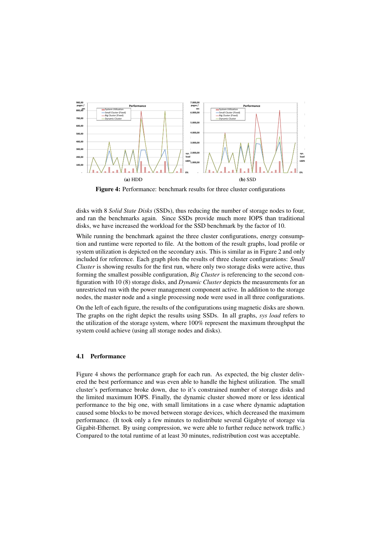

Figure 4: Performance: benchmark results for three cluster configurations

disks with 8 *Solid State Disks* (SSDs), thus reducing the number of storage nodes to four, and ran the benchmarks again. Since SSDs provide much more IOPS than traditional disks, we have increased the workload for the SSD benchmark by the factor of 10.

While running the benchmark against the three cluster configurations, energy consumption and runtime were reported to file. At the bottom of the result graphs, load profile or system utilization is depicted on the secondary axis. This is similar as in Figure 2 and only included for reference. Each graph plots the results of three cluster configurations: *Small Cluster* is showing results for the first run, where only two storage disks were active, thus forming the smallest possible configuration, *Big Cluster* is referencing to the second configuration with 10 (8) storage disks, and *Dynamic Cluster* depicts the measurements for an unrestricted run with the power management component active. In addition to the storage nodes, the master node and a single processing node were used in all three configurations.

On the left of each figure, the results of the configurations using magnetic disks are shown. The graphs on the right depict the results using SSDs. In all graphs, *sys load* refers to the utilization of the storage system, where 100% represent the maximum throughput the system could achieve (using all storage nodes and disks).

### 4.1 Performance

Figure 4 shows the performance graph for each run. As expected, the big cluster delivered the best performance and was even able to handle the highest utilization. The small cluster's performance broke down, due to it's constrained number of storage disks and the limited maximum IOPS. Finally, the dynamic cluster showed more or less identical performance to the big one, with small limitations in a case where dynamic adaptation caused some blocks to be moved between storage devices, which decreased the maximum performance. (It took only a few minutes to redistribute several Gigabyte of storage via Gigabit-Ethernet. By using compression, we were able to further reduce network traffic.) Compared to the total runtime of at least 30 minutes, redistribution cost was acceptable.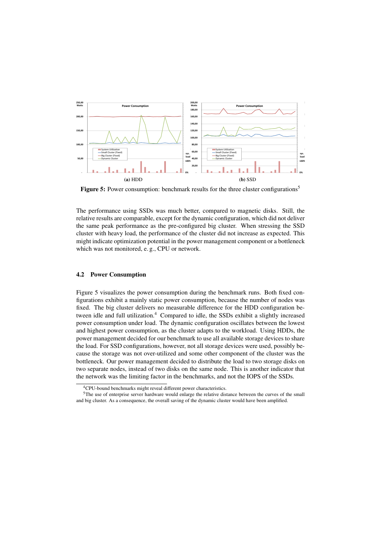

**Figure 5:** Power consumption: benchmark results for the three cluster configurations<sup>5</sup>

The performance using SSDs was much better, compared to magnetic disks. Still, the relative results are comparable, except for the dynamic configuration, which did not deliver the same peak performance as the pre-configured big cluster. When stressing the SSD cluster with heavy load, the performance of the cluster did not increase as expected. This might indicate optimization potential in the power management component or a bottleneck which was not monitored, e. g., CPU or network.

### 4.2 Power Consumption

Figure 5 visualizes the power consumption during the benchmark runs. Both fixed configurations exhibit a mainly static power consumption, because the number of nodes was fixed. The big cluster delivers no measurable difference for the HDD configuration between idle and full utilization.<sup>4</sup> Compared to idle, the SSDs exhibit a slightly increased power consumption under load. The dynamic configuration oscillates between the lowest and highest power consumption, as the cluster adapts to the workload. Using HDDs, the power management decided for our benchmark to use all available storage devices to share the load. For SSD configurations, however, not all storage devices were used, possibly because the storage was not over-utilized and some other component of the cluster was the bottleneck. Our power management decided to distribute the load to two storage disks on two separate nodes, instead of two disks on the same node. This is another indicator that the network was the limiting factor in the benchmarks, and not the IOPS of the SSDs.

<sup>4</sup>CPU-bound benchmarks might reveal different power characteristics.

<sup>&</sup>lt;sup>5</sup>The use of enterprise server hardware would enlarge the relative distance between the curves of the small and big cluster. As a consequence, the overall saving of the dynamic cluster would have been amplified.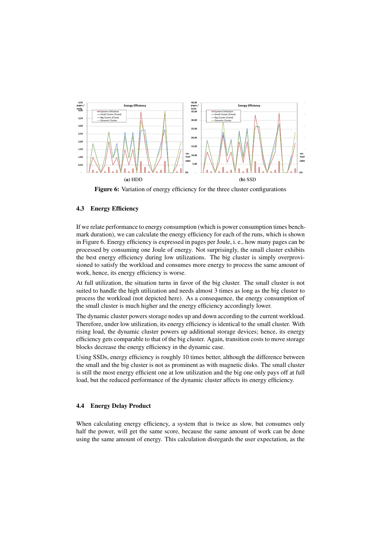

Figure 6: Variation of energy efficiency for the three cluster configurations

# 4.3 Energy Efficiency

If we relate performance to energy consumption (which is power consumption times benchmark duration), we can calculate the energy efficiency for each of the runs, which is shown in Figure 6. Energy efficiency is expressed in pages per Joule, i. e., how many pages can be processed by consuming one Joule of energy. Not surprisingly, the small cluster exhibits the best energy efficiency during low utilizations. The big cluster is simply overprovisioned to satisfy the workload and consumes more energy to process the same amount of work, hence, its energy efficiency is worse.

At full utilization, the situation turns in favor of the big cluster. The small cluster is not suited to handle the high utilization and needs almost 3 times as long as the big cluster to process the workload (not depicted here). As a consequence, the energy consumption of the small cluster is much higher and the energy efficiency accordingly lower.

The dynamic cluster powers storage nodes up and down according to the current workload. Therefore, under low utilization, its energy efficiency is identical to the small cluster. With rising load, the dynamic cluster powers up additional storage devices; hence, its energy efficiency gets comparable to that of the big cluster. Again, transition costs to move storage blocks decrease the energy efficiency in the dynamic case.

Using SSDs, energy efficiency is roughly 10 times better, although the difference between the small and the big cluster is not as prominent as with magnetic disks. The small cluster is still the most energy efficient one at low utilization and the big one only pays off at full load, but the reduced performance of the dynamic cluster affects its energy efficiency.

## 4.4 Energy Delay Product

When calculating energy efficiency, a system that is twice as slow, but consumes only half the power, will get the same score, because the same amount of work can be done using the same amount of energy. This calculation disregards the user expectation, as the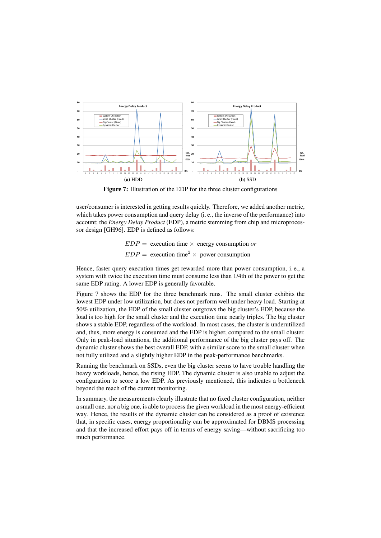

Figure 7: Illustration of the EDP for the three cluster configurations

user/consumer is interested in getting results quickly. Therefore, we added another metric, which takes power consumption and query delay (i. e., the inverse of the performance) into account; the *Energy Delay Product* (EDP), a metric stemming from chip and microprocessor design [GH96]. EDP is defined as follows:

> $EDP =$  execution time  $\times$  energy consumption *or*  $EDP =$  execution time<sup>2</sup>  $\times$  power consumption

Hence, faster query execution times get rewarded more than power consumption, i. e., a system with twice the execution time must consume less than 1/4th of the power to get the same EDP rating. A lower EDP is generally favorable.

Figure 7 shows the EDP for the three benchmark runs. The small cluster exhibits the lowest EDP under low utilization, but does not perform well under heavy load. Starting at 50% utilization, the EDP of the small cluster outgrows the big cluster's EDP, because the load is too high for the small cluster and the execution time nearly triples. The big cluster shows a stable EDP, regardless of the workload. In most cases, the cluster is underutilized and, thus, more energy is consumed and the EDP is higher, compared to the small cluster. Only in peak-load situations, the additional performance of the big cluster pays off. The dynamic cluster shows the best overall EDP, with a similar score to the small cluster when not fully utilized and a slightly higher EDP in the peak-performance benchmarks.

Running the benchmark on SSDs, even the big cluster seems to have trouble handling the heavy workloads, hence, the rising EDP. The dynamic cluster is also unable to adjust the configuration to score a low EDP. As previously mentioned, this indicates a bottleneck beyond the reach of the current monitoring.

In summary, the measurements clearly illustrate that no fixed cluster configuration, neither a small one, nor a big one, is able to process the given workload in the most energy-efficient way. Hence, the results of the dynamic cluster can be considered as a proof of existence that, in specific cases, energy proportionality can be approximated for DBMS processing and that the increased effort pays off in terms of energy saving—without sacrificing too much performance.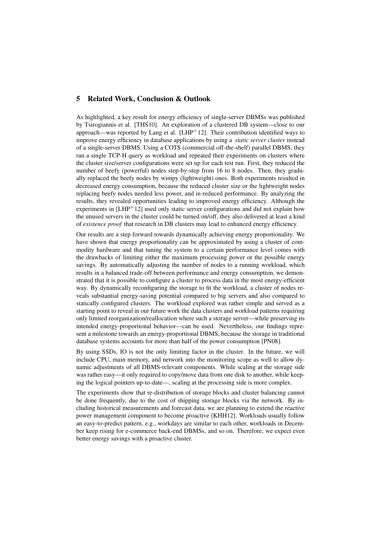# 5 Related Work, Conclusion & Outlook

As highlighted, a key result for energy efficiency of single-server DBMSs was published by Tsirogiannis et al. [THS10]. An exploration of a clustered DB system—close to our approach—was reported by Lang et al. [LHP+12]. Their contribution identified ways to improve energy efficiency in database applications by using a *static server cluster* instead of a single-server DBMS. Using a COTS (commercial off-the-shelf) parallel DBMS, they ran a single TCP-H query as workload and repeated their experiments on clusters where the cluster size/server configurations were set up for each test run. First, they reduced the number of beefy (powerful) nodes step-by-step from 16 to 8 nodes. Then, they gradually replaced the beefy nodes by wimpy (lightweight) ones. Both experiments resulted in decreased energy consumption, because the reduced cluster size or the lightweight nodes replacing beefy nodes needed less power, and in reduced performance. By analyzing the results, they revealed opportunities leading to improved energy efficiency. Although the experiments in  $[{\rm LHP}^+12]$  used only static server configurations and did not explain how the unused servers in the cluster could be turned on/off, they also delivered at least a kind of *existence proof* that research in DB clusters may lead to enhanced energy efficiency.

Our results are a step forward towards dynamically achieving energy proportionality. We have shown that energy proportionality can be approximated by using a cluster of commodity hardware and that tuning the system to a certain performance level comes with the drawbacks of limiting either the maximum processing power or the possible energy savings. By automatically adjusting the number of nodes to a running workload, which results in a balanced trade-off between performance and energy consumption, we demonstrated that it is possible to configure a cluster to process data in the most energy-efficient way. By dynamically reconfiguring the storage to fit the workload, a cluster of nodes reveals substantial energy-saving potential compared to big servers and also compared to statically configured clusters. The workload explored was rather simple and served as a starting point to reveal in our future work the data clusters and workload patterns requiring only limited reorganization/reallocation where such a storage server—while preserving its intended energy-proportional behavior—can be used. Nevertheless, our findings represent a milestone towards an energy-proportional DBMS, because the storage in traditional database systems accounts for more than half of the power consumption [PN08].

By using SSDs, IO is not the only limiting factor in the cluster. In the future, we will include CPU, main memory, and network into the monitoring scope as well to allow dynamic adjustments of all DBMS-relevant components. While scaling at the storage side was rather easy—it only required to copy/move data from one disk to another, while keeping the logical pointers up-to-date—, scaling at the processing side is more complex.

The experiments show that re-distribution of storage blocks and cluster balancing cannot be done frequently, due to the cost of shipping storage blocks via the network. By including historical measurements and forecast data, we are planning to extend the reactive power management component to become proactive [KHH12]. Workloads usually follow an easy-to-predict pattern, e.g., workdays are similar to each other, workloads in December keep rising for e-commerce back-end DBMSs, and so on. Therefore, we expect even better energy savings with a proactive cluster.